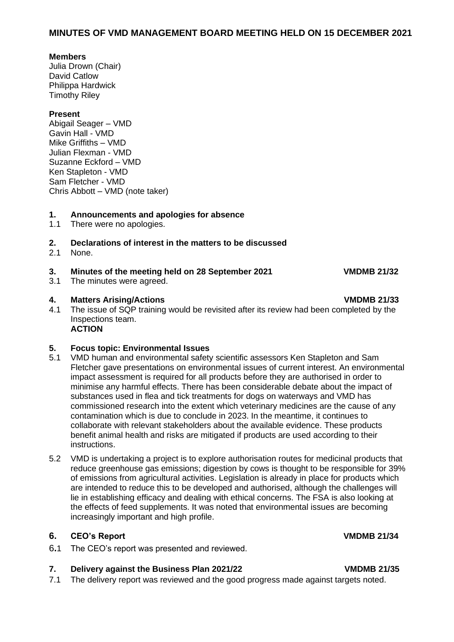## **MINUTES OF VMD MANAGEMENT BOARD MEETING HELD ON 15 DECEMBER 2021**

#### **Members**

Julia Drown (Chair) David Catlow Philippa Hardwick Timothy Riley

## **Present**

Abigail Seager – VMD Gavin Hall - VMD Mike Griffiths – VMD Julian Flexman - VMD Suzanne Eckford – VMD Ken Stapleton - VMD Sam Fletcher - VMD Chris Abbott – VMD (note taker)

## **1. Announcements and apologies for absence**

1.1 There were no apologies.

## **2. Declarations of interest in the matters to be discussed**

2.1 None.

## **3. Minutes of the meeting held on 28 September 2021 VMDMB 21/32**

3.1 The minutes were agreed.

## **4. Matters Arising/Actions VMDMB 21/33**

4.1 The issue of SQP training would be revisited after its review had been completed by the Inspections team. **ACTION**

## **5. Focus topic: Environmental Issues**

- 5.1 VMD human and environmental safety scientific assessors Ken Stapleton and Sam Fletcher gave presentations on environmental issues of current interest. An environmental impact assessment is required for all products before they are authorised in order to minimise any harmful effects. There has been considerable debate about the impact of substances used in flea and tick treatments for dogs on waterways and VMD has commissioned research into the extent which veterinary medicines are the cause of any contamination which is due to conclude in 2023. In the meantime, it continues to collaborate with relevant stakeholders about the available evidence. These products benefit animal health and risks are mitigated if products are used according to their instructions.
- 5.2 VMD is undertaking a project is to explore authorisation routes for medicinal products that reduce greenhouse gas emissions; digestion by cows is thought to be responsible for 39% of emissions from agricultural activities. Legislation is already in place for products which are intended to reduce this to be developed and authorised, although the challenges will lie in establishing efficacy and dealing with ethical concerns. The FSA is also looking at the effects of feed supplements. It was noted that environmental issues are becoming increasingly important and high profile.

## **6. CEO's Report VMDMB 21/34**

6**.**1 The CEO's report was presented and reviewed.

# **7. Delivery against the Business Plan 2021/22 VMDMB 21/35**

7.1 The delivery report was reviewed and the good progress made against targets noted.